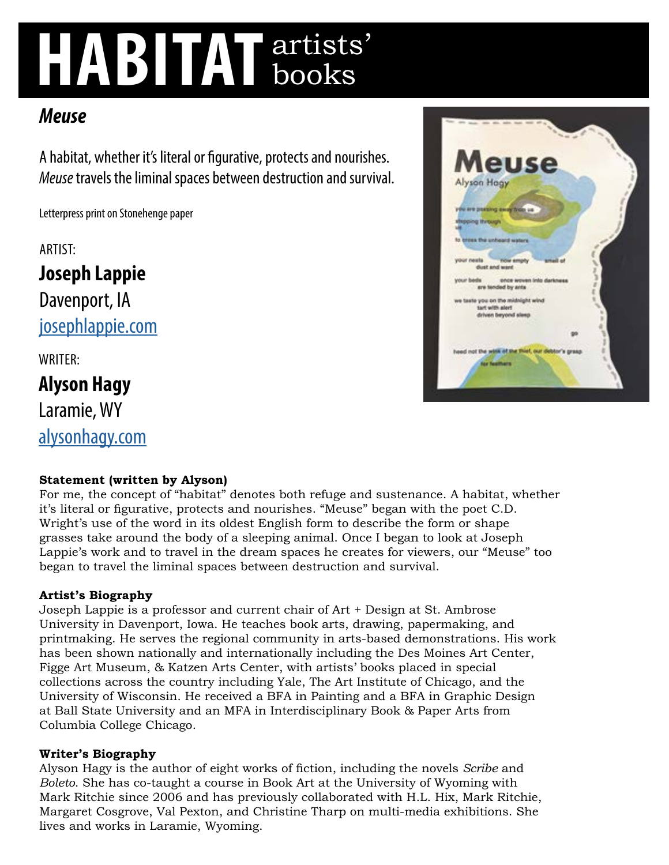# **HABITAT** artists' books

## *Meuse*

A habitat, whether it's literal or figurative, protects and nourishes. *Meuse* travels the liminal spaces between destruction and survival.

Letterpress print on Stonehenge paper

ARTIST:

**Joseph Lappie**  Davenport, IA [josephlappie.com](http://josephlappie.com)

WRITER:

**Alyson Hagy**  Laramie, WY [alysonhagy.com](http://alysonhagy.com)

### **Statement (written by Alyson)**

For me, the concept of "habitat" denotes both refuge and sustenance. A habitat, whether it's literal or figurative, protects and nourishes. "Meuse" began with the poet C.D. Wright's use of the word in its oldest English form to describe the form or shape grasses take around the body of a sleeping animal. Once I began to look at Joseph Lappie's work and to travel in the dream spaces he creates for viewers, our "Meuse" too began to travel the liminal spaces between destruction and survival.

### **Artist's Biography**

Joseph Lappie is a professor and current chair of Art + Design at St. Ambrose University in Davenport, Iowa. He teaches book arts, drawing, papermaking, and printmaking. He serves the regional community in arts-based demonstrations. His work has been shown nationally and internationally including the Des Moines Art Center, Figge Art Museum, & Katzen Arts Center, with artists' books placed in special collections across the country including Yale, The Art Institute of Chicago, and the University of Wisconsin. He received a BFA in Painting and a BFA in Graphic Design at Ball State University and an MFA in Interdisciplinary Book & Paper Arts from Columbia College Chicago.

#### **Writer's Biography**

Alyson Hagy is the author of eight works of fiction, including the novels *Scribe* and *Boleto*. She has co-taught a course in Book Art at the University of Wyoming with Mark Ritchie since 2006 and has previously collaborated with H.L. Hix, Mark Ritchie, Margaret Cosgrove, Val Pexton, and Christine Tharp on multi-media exhibitions. She lives and works in Laramie, Wyoming.